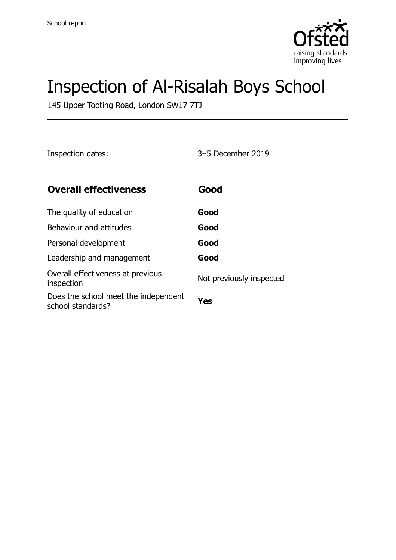

# Inspection of Al-Risalah Boys School

145 Upper Tooting Road, London SW17 7TJ

Inspection dates: 3–5 December 2019

| <b>Overall effectiveness</b>                              | Good                     |
|-----------------------------------------------------------|--------------------------|
| The quality of education                                  | Good                     |
| Behaviour and attitudes                                   | Good                     |
| Personal development                                      | Good                     |
| Leadership and management                                 | Good                     |
| Overall effectiveness at previous<br>inspection           | Not previously inspected |
| Does the school meet the independent<br>school standards? | Yes                      |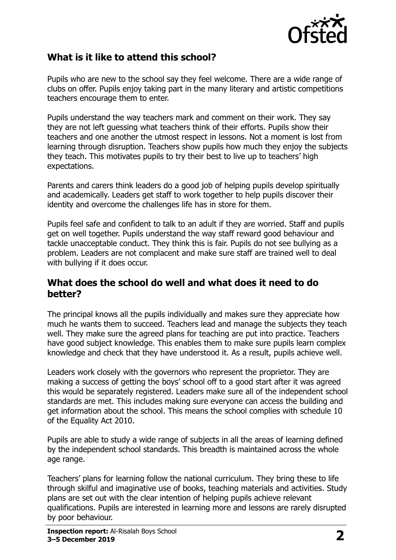

### **What is it like to attend this school?**

Pupils who are new to the school say they feel welcome. There are a wide range of clubs on offer. Pupils enjoy taking part in the many literary and artistic competitions teachers encourage them to enter.

Pupils understand the way teachers mark and comment on their work. They say they are not left guessing what teachers think of their efforts. Pupils show their teachers and one another the utmost respect in lessons. Not a moment is lost from learning through disruption. Teachers show pupils how much they enjoy the subjects they teach. This motivates pupils to try their best to live up to teachers' high expectations.

Parents and carers think leaders do a good job of helping pupils develop spiritually and academically. Leaders get staff to work together to help pupils discover their identity and overcome the challenges life has in store for them.

Pupils feel safe and confident to talk to an adult if they are worried. Staff and pupils get on well together. Pupils understand the way staff reward good behaviour and tackle unacceptable conduct. They think this is fair. Pupils do not see bullying as a problem. Leaders are not complacent and make sure staff are trained well to deal with bullying if it does occur.

#### **What does the school do well and what does it need to do better?**

The principal knows all the pupils individually and makes sure they appreciate how much he wants them to succeed. Teachers lead and manage the subjects they teach well. They make sure the agreed plans for teaching are put into practice. Teachers have good subject knowledge. This enables them to make sure pupils learn complex knowledge and check that they have understood it. As a result, pupils achieve well.

Leaders work closely with the governors who represent the proprietor. They are making a success of getting the boys' school off to a good start after it was agreed this would be separately registered. Leaders make sure all of the independent school standards are met. This includes making sure everyone can access the building and get information about the school. This means the school complies with schedule 10 of the Equality Act 2010.

Pupils are able to study a wide range of subjects in all the areas of learning defined by the independent school standards. This breadth is maintained across the whole age range.

Teachers' plans for learning follow the national curriculum. They bring these to life through skilful and imaginative use of books, teaching materials and activities. Study plans are set out with the clear intention of helping pupils achieve relevant qualifications. Pupils are interested in learning more and lessons are rarely disrupted by poor behaviour.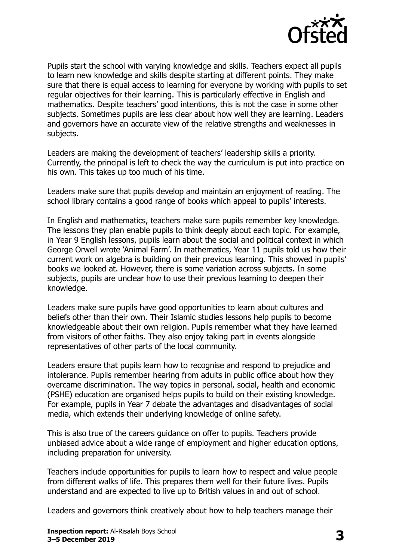

Pupils start the school with varying knowledge and skills. Teachers expect all pupils to learn new knowledge and skills despite starting at different points. They make sure that there is equal access to learning for everyone by working with pupils to set regular objectives for their learning. This is particularly effective in English and mathematics. Despite teachers' good intentions, this is not the case in some other subjects. Sometimes pupils are less clear about how well they are learning. Leaders and governors have an accurate view of the relative strengths and weaknesses in subjects.

Leaders are making the development of teachers' leadership skills a priority. Currently, the principal is left to check the way the curriculum is put into practice on his own. This takes up too much of his time.

Leaders make sure that pupils develop and maintain an enjoyment of reading. The school library contains a good range of books which appeal to pupils' interests.

In English and mathematics, teachers make sure pupils remember key knowledge. The lessons they plan enable pupils to think deeply about each topic. For example, in Year 9 English lessons, pupils learn about the social and political context in which George Orwell wrote 'Animal Farm'. In mathematics, Year 11 pupils told us how their current work on algebra is building on their previous learning. This showed in pupils' books we looked at. However, there is some variation across subjects. In some subjects, pupils are unclear how to use their previous learning to deepen their knowledge.

Leaders make sure pupils have good opportunities to learn about cultures and beliefs other than their own. Their Islamic studies lessons help pupils to become knowledgeable about their own religion. Pupils remember what they have learned from visitors of other faiths. They also enjoy taking part in events alongside representatives of other parts of the local community.

Leaders ensure that pupils learn how to recognise and respond to prejudice and intolerance. Pupils remember hearing from adults in public office about how they overcame discrimination. The way topics in personal, social, health and economic (PSHE) education are organised helps pupils to build on their existing knowledge. For example, pupils in Year 7 debate the advantages and disadvantages of social media, which extends their underlying knowledge of online safety.

This is also true of the careers guidance on offer to pupils. Teachers provide unbiased advice about a wide range of employment and higher education options, including preparation for university.

Teachers include opportunities for pupils to learn how to respect and value people from different walks of life. This prepares them well for their future lives. Pupils understand and are expected to live up to British values in and out of school.

Leaders and governors think creatively about how to help teachers manage their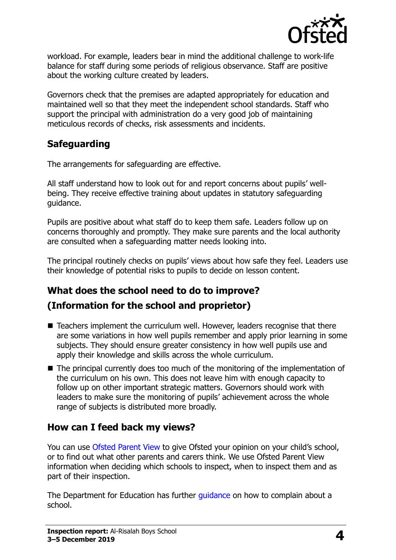

workload. For example, leaders bear in mind the additional challenge to work-life balance for staff during some periods of religious observance. Staff are positive about the working culture created by leaders.

Governors check that the premises are adapted appropriately for education and maintained well so that they meet the independent school standards. Staff who support the principal with administration do a very good job of maintaining meticulous records of checks, risk assessments and incidents.

### **Safeguarding**

The arrangements for safeguarding are effective.

All staff understand how to look out for and report concerns about pupils' wellbeing. They receive effective training about updates in statutory safeguarding guidance.

Pupils are positive about what staff do to keep them safe. Leaders follow up on concerns thoroughly and promptly. They make sure parents and the local authority are consulted when a safeguarding matter needs looking into.

The principal routinely checks on pupils' views about how safe they feel. Leaders use their knowledge of potential risks to pupils to decide on lesson content.

## **What does the school need to do to improve? (Information for the school and proprietor)**

- Teachers implement the curriculum well. However, leaders recognise that there are some variations in how well pupils remember and apply prior learning in some subjects. They should ensure greater consistency in how well pupils use and apply their knowledge and skills across the whole curriculum.
- The principal currently does too much of the monitoring of the implementation of the curriculum on his own. This does not leave him with enough capacity to follow up on other important strategic matters. Governors should work with leaders to make sure the monitoring of pupils' achievement across the whole range of subjects is distributed more broadly.

### **How can I feed back my views?**

You can use [Ofsted Parent View](http://parentview.ofsted.gov.uk/) to give Ofsted your opinion on your child's school, or to find out what other parents and carers think. We use Ofsted Parent View information when deciding which schools to inspect, when to inspect them and as part of their inspection.

The Department for Education has further quidance on how to complain about a school.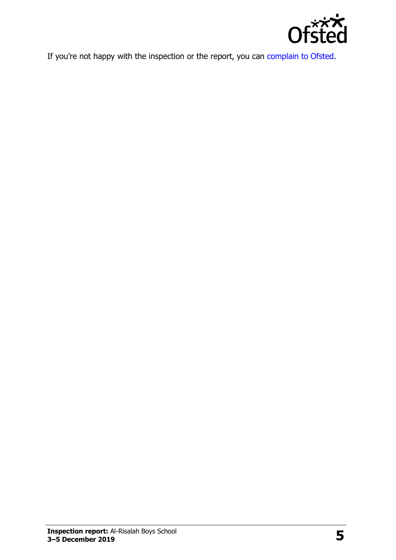

If you're not happy with the inspection or the report, you can [complain to Ofsted.](http://www.gov.uk/complain-ofsted-report)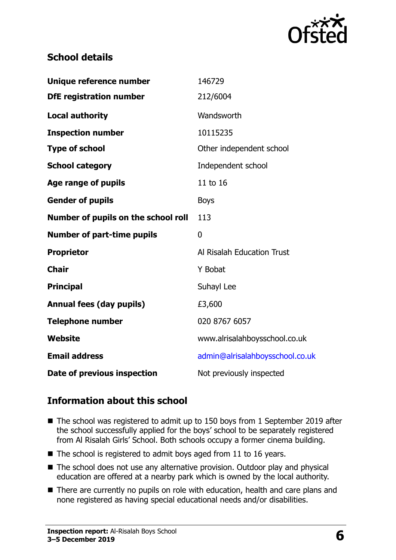

#### **School details**

| Unique reference number             | 146729                          |
|-------------------------------------|---------------------------------|
| <b>DfE registration number</b>      | 212/6004                        |
| <b>Local authority</b>              | Wandsworth                      |
| <b>Inspection number</b>            | 10115235                        |
| <b>Type of school</b>               | Other independent school        |
| <b>School category</b>              | Independent school              |
| <b>Age range of pupils</b>          | 11 to 16                        |
| <b>Gender of pupils</b>             | <b>Boys</b>                     |
| Number of pupils on the school roll | 113                             |
|                                     |                                 |
| <b>Number of part-time pupils</b>   | 0                               |
| <b>Proprietor</b>                   | Al Risalah Education Trust      |
| <b>Chair</b>                        | Y Bobat                         |
| <b>Principal</b>                    | Suhayl Lee                      |
| <b>Annual fees (day pupils)</b>     | £3,600                          |
| <b>Telephone number</b>             | 020 8767 6057                   |
| <b>Website</b>                      | www.alrisalahboysschool.co.uk   |
| <b>Email address</b>                | admin@alrisalahboysschool.co.uk |

### **Information about this school**

- The school was registered to admit up to 150 boys from 1 September 2019 after the school successfully applied for the boys' school to be separately registered from Al Risalah Girls' School. Both schools occupy a former cinema building.
- $\blacksquare$  The school is registered to admit boys aged from 11 to 16 years.
- The school does not use any alternative provision. Outdoor play and physical education are offered at a nearby park which is owned by the local authority.
- There are currently no pupils on role with education, health and care plans and none registered as having special educational needs and/or disabilities.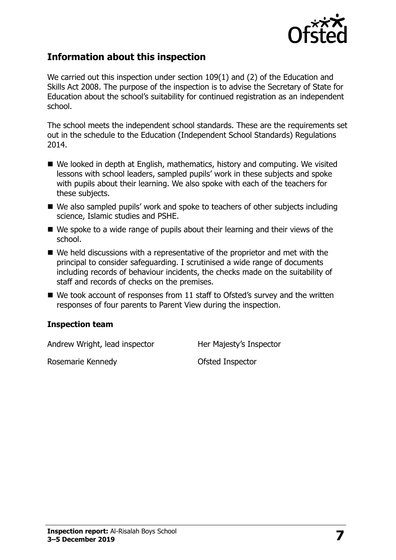

#### **Information about this inspection**

We carried out this inspection under section 109(1) and (2) of the Education and Skills Act 2008. The purpose of the inspection is to advise the Secretary of State for Education about the school's suitability for continued registration as an independent school.

The school meets the independent school standards. These are the requirements set out in the schedule to the Education (Independent School Standards) Regulations 2014.

- We looked in depth at English, mathematics, history and computing. We visited lessons with school leaders, sampled pupils' work in these subjects and spoke with pupils about their learning. We also spoke with each of the teachers for these subjects.
- We also sampled pupils' work and spoke to teachers of other subjects including science, Islamic studies and PSHE.
- We spoke to a wide range of pupils about their learning and their views of the school.
- We held discussions with a representative of the proprietor and met with the principal to consider safeguarding. I scrutinised a wide range of documents including records of behaviour incidents, the checks made on the suitability of staff and records of checks on the premises.
- $\blacksquare$  We took account of responses from 11 staff to Ofsted's survey and the written responses of four parents to Parent View during the inspection.

#### **Inspection team**

Andrew Wright, lead inspector **Her Majesty's Inspector** 

Rosemarie Kennedy **Conservation Conservation** Ofsted Inspector